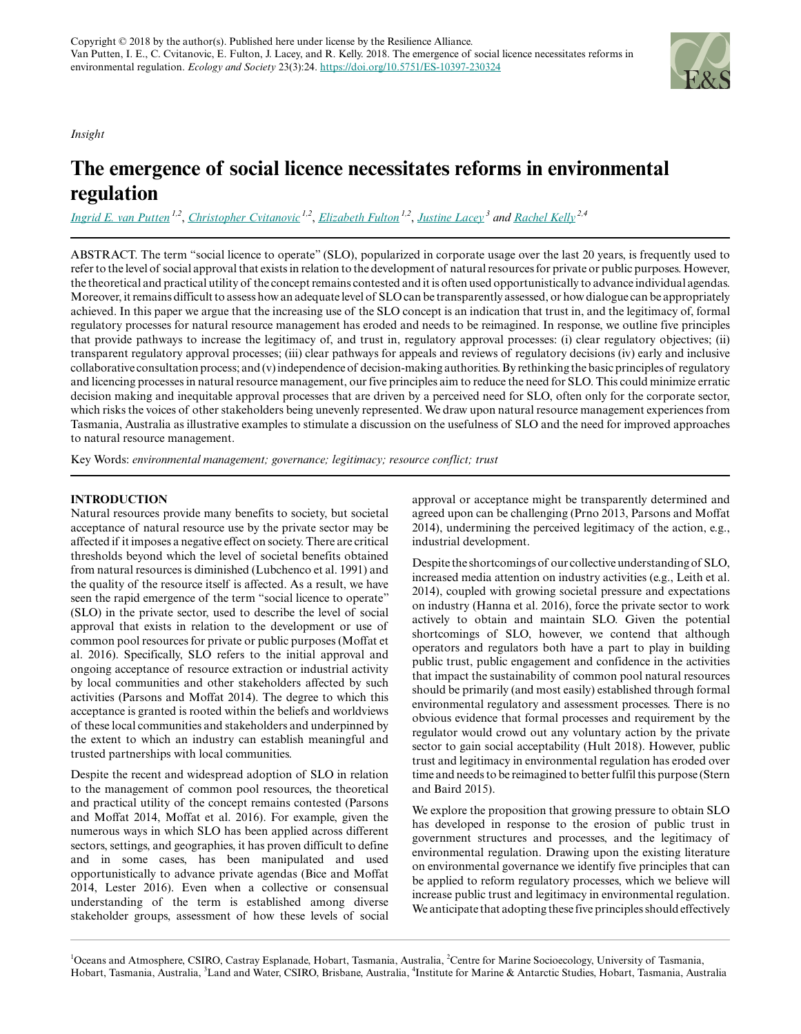# *Insight*

# **The emergence of social licence necessitates reforms in environmental regulation**

*[Ingrid E. van Putten](mailto:Ingrid.vanputten@csiro.au) 1,2* , *[Christopher Cvitanovic](mailto:christopher.cvitanovic@csiro.au) 1,2* , *[Elizabeth Fulton](mailto:Beth.fulton@csiro.au) 1,2* , *[Justine Lacey](mailto:justine.lacey@csiro.au)<sup>3</sup> and [Rachel Kelly](mailto:r.kelly@utas.edu.au) 2,4*

ABSTRACT. The term "social licence to operate" (SLO), popularized in corporate usage over the last 20 years, is frequently used to refer to the level of social approval that exists in relation to the development of natural resources for private or public purposes. However, the theoretical and practical utility of the concept remains contested and it is often used opportunistically to advance individual agendas. Moreover, it remains difficult to assess how an adequate level of SLO can be transparently assessed, or how dialogue can be appropriately achieved. In this paper we argue that the increasing use of the SLO concept is an indication that trust in, and the legitimacy of, formal regulatory processes for natural resource management has eroded and needs to be reimagined. In response, we outline five principles that provide pathways to increase the legitimacy of, and trust in, regulatory approval processes: (i) clear regulatory objectives; (ii) transparent regulatory approval processes; (iii) clear pathways for appeals and reviews of regulatory decisions (iv) early and inclusive collaborative consultation process; and (v) independence of decision-making authorities. By rethinking the basic principles of regulatory and licencing processes in natural resource management, our five principles aim to reduce the need for SLO. This could minimize erratic decision making and inequitable approval processes that are driven by a perceived need for SLO, often only for the corporate sector, which risks the voices of other stakeholders being unevenly represented. We draw upon natural resource management experiences from Tasmania, Australia as illustrative examples to stimulate a discussion on the usefulness of SLO and the need for improved approaches to natural resource management.

Key Words: *environmental management; governance; legitimacy; resource conflict; trust*

# **INTRODUCTION**

Natural resources provide many benefits to society, but societal acceptance of natural resource use by the private sector may be affected if it imposes a negative effect on society. There are critical thresholds beyond which the level of societal benefits obtained from natural resources is diminished (Lubchenco et al. 1991) and the quality of the resource itself is affected. As a result, we have seen the rapid emergence of the term "social licence to operate" (SLO) in the private sector, used to describe the level of social approval that exists in relation to the development or use of common pool resources for private or public purposes (Moffat et al. 2016). Specifically, SLO refers to the initial approval and ongoing acceptance of resource extraction or industrial activity by local communities and other stakeholders affected by such activities (Parsons and Moffat 2014). The degree to which this acceptance is granted is rooted within the beliefs and worldviews of these local communities and stakeholders and underpinned by the extent to which an industry can establish meaningful and trusted partnerships with local communities.

Despite the recent and widespread adoption of SLO in relation to the management of common pool resources, the theoretical and practical utility of the concept remains contested (Parsons and Moffat 2014, Moffat et al. 2016). For example, given the numerous ways in which SLO has been applied across different sectors, settings, and geographies, it has proven difficult to define and in some cases, has been manipulated and used opportunistically to advance private agendas (Bice and Moffat 2014, Lester 2016). Even when a collective or consensual understanding of the term is established among diverse stakeholder groups, assessment of how these levels of social

approval or acceptance might be transparently determined and agreed upon can be challenging (Prno 2013, Parsons and Moffat 2014), undermining the perceived legitimacy of the action, e.g., industrial development.

Despite the shortcomings of our collective understanding of SLO, increased media attention on industry activities (e.g., Leith et al. 2014), coupled with growing societal pressure and expectations on industry (Hanna et al. 2016), force the private sector to work actively to obtain and maintain SLO. Given the potential shortcomings of SLO, however, we contend that although operators and regulators both have a part to play in building public trust, public engagement and confidence in the activities that impact the sustainability of common pool natural resources should be primarily (and most easily) established through formal environmental regulatory and assessment processes. There is no obvious evidence that formal processes and requirement by the regulator would crowd out any voluntary action by the private sector to gain social acceptability (Hult 2018). However, public trust and legitimacy in environmental regulation has eroded over time and needs to be reimagined to better fulfil this purpose (Stern and Baird 2015).

We explore the proposition that growing pressure to obtain SLO has developed in response to the erosion of public trust in government structures and processes, and the legitimacy of environmental regulation. Drawing upon the existing literature on environmental governance we identify five principles that can be applied to reform regulatory processes, which we believe will increase public trust and legitimacy in environmental regulation. We anticipate that adopting these five principles should effectively

<sup>1</sup>Oceans and Atmosphere, CSIRO, Castray Esplanade, Hobart, Tasmania, Australia, <sup>2</sup>Centre for Marine Socioecology, University of Tasmania, Hobart, Tasmania, Australia, <sup>3</sup>Land and Water, CSIRO, Brisbane, Australia, <sup>4</sup>Institute for Marine & Antarctic Studies, Hobart, Tasmania, Australia

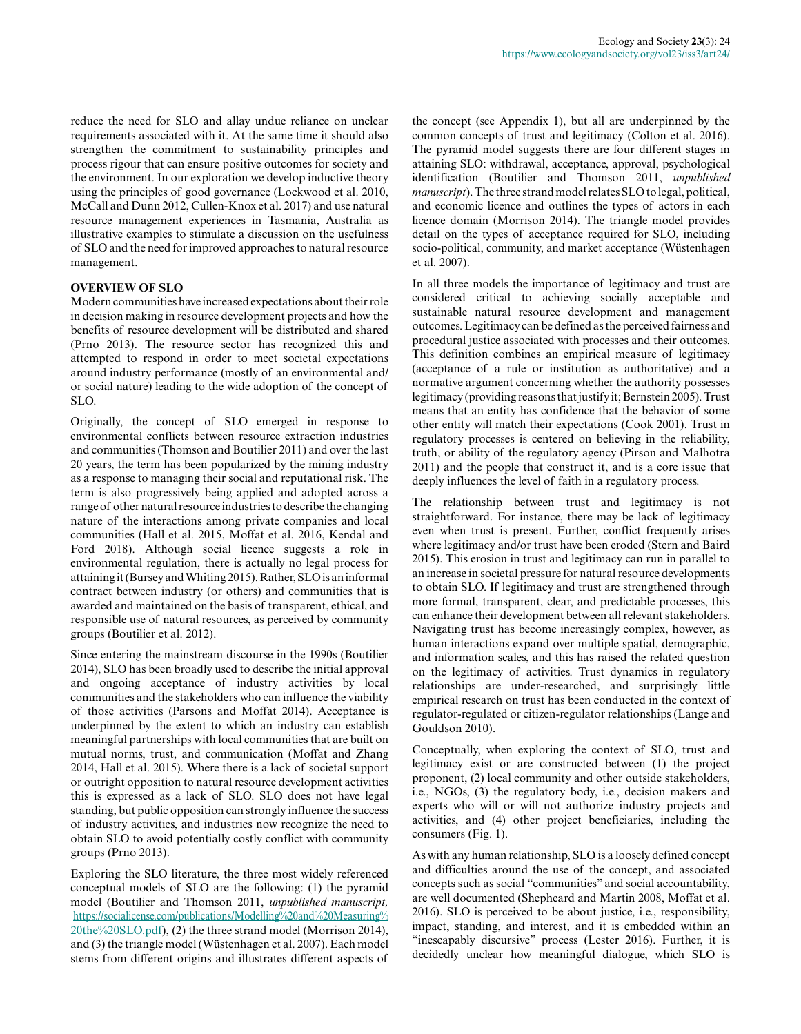reduce the need for SLO and allay undue reliance on unclear requirements associated with it. At the same time it should also strengthen the commitment to sustainability principles and process rigour that can ensure positive outcomes for society and the environment. In our exploration we develop inductive theory using the principles of good governance (Lockwood et al. 2010, McCall and Dunn 2012, Cullen-Knox et al. 2017) and use natural resource management experiences in Tasmania, Australia as illustrative examples to stimulate a discussion on the usefulness of SLO and the need for improved approaches to natural resource management.

# **OVERVIEW OF SLO**

Modern communities have increased expectations about their role in decision making in resource development projects and how the benefits of resource development will be distributed and shared (Prno 2013). The resource sector has recognized this and attempted to respond in order to meet societal expectations around industry performance (mostly of an environmental and/ or social nature) leading to the wide adoption of the concept of SLO.

Originally, the concept of SLO emerged in response to environmental conflicts between resource extraction industries and communities (Thomson and Boutilier 2011) and over the last 20 years, the term has been popularized by the mining industry as a response to managing their social and reputational risk. The term is also progressively being applied and adopted across a range of other natural resource industries to describe the changing nature of the interactions among private companies and local communities (Hall et al. 2015, Moffat et al. 2016, Kendal and Ford 2018). Although social licence suggests a role in environmental regulation, there is actually no legal process for attaining it (Bursey and Whiting 2015). Rather, SLO is an informal contract between industry (or others) and communities that is awarded and maintained on the basis of transparent, ethical, and responsible use of natural resources, as perceived by community groups (Boutilier et al. 2012).

Since entering the mainstream discourse in the 1990s (Boutilier 2014), SLO has been broadly used to describe the initial approval and ongoing acceptance of industry activities by local communities and the stakeholders who can influence the viability of those activities (Parsons and Moffat 2014). Acceptance is underpinned by the extent to which an industry can establish meaningful partnerships with local communities that are built on mutual norms, trust, and communication (Moffat and Zhang 2014, Hall et al. 2015). Where there is a lack of societal support or outright opposition to natural resource development activities this is expressed as a lack of SLO. SLO does not have legal standing, but public opposition can strongly influence the success of industry activities, and industries now recognize the need to obtain SLO to avoid potentially costly conflict with community groups (Prno 2013).

Exploring the SLO literature, the three most widely referenced conceptual models of SLO are the following: (1) the pyramid model (Boutilier and Thomson 2011, *unpublished manuscript,* [https://socialicense.com/publications/Modelling%20and%20Measuring%](https://socialicense.com/publications/Modelling%20and%20Measuring%20the%20SLO.pdf) [20the%20SLO.pdf\)](https://socialicense.com/publications/Modelling%20and%20Measuring%20the%20SLO.pdf), (2) the three strand model (Morrison 2014), and (3) the triangle model (Wüstenhagen et al. 2007). Each model stems from different origins and illustrates different aspects of the concept (see Appendix 1), but all are underpinned by the common concepts of trust and legitimacy (Colton et al. 2016). The pyramid model suggests there are four different stages in attaining SLO: withdrawal, acceptance, approval, psychological identification (Boutilier and Thomson 2011, *unpublished manuscript*). The three strand model relates SLO to legal, political, and economic licence and outlines the types of actors in each licence domain (Morrison 2014). The triangle model provides detail on the types of acceptance required for SLO, including socio-political, community, and market acceptance (Wüstenhagen et al. 2007).

In all three models the importance of legitimacy and trust are considered critical to achieving socially acceptable and sustainable natural resource development and management outcomes. Legitimacy can be defined as the perceived fairness and procedural justice associated with processes and their outcomes. This definition combines an empirical measure of legitimacy (acceptance of a rule or institution as authoritative) and a normative argument concerning whether the authority possesses legitimacy (providing reasons that justify it; Bernstein 2005). Trust means that an entity has confidence that the behavior of some other entity will match their expectations (Cook 2001). Trust in regulatory processes is centered on believing in the reliability, truth, or ability of the regulatory agency (Pirson and Malhotra 2011) and the people that construct it, and is a core issue that deeply influences the level of faith in a regulatory process.

The relationship between trust and legitimacy is not straightforward. For instance, there may be lack of legitimacy even when trust is present. Further, conflict frequently arises where legitimacy and/or trust have been eroded (Stern and Baird 2015). This erosion in trust and legitimacy can run in parallel to an increase in societal pressure for natural resource developments to obtain SLO. If legitimacy and trust are strengthened through more formal, transparent, clear, and predictable processes, this can enhance their development between all relevant stakeholders. Navigating trust has become increasingly complex, however, as human interactions expand over multiple spatial, demographic, and information scales, and this has raised the related question on the legitimacy of activities. Trust dynamics in regulatory relationships are under-researched, and surprisingly little empirical research on trust has been conducted in the context of regulator-regulated or citizen-regulator relationships (Lange and Gouldson 2010).

Conceptually, when exploring the context of SLO, trust and legitimacy exist or are constructed between (1) the project proponent, (2) local community and other outside stakeholders, i.e., NGOs, (3) the regulatory body, i.e., decision makers and experts who will or will not authorize industry projects and activities, and (4) other project beneficiaries, including the consumers (Fig. 1).

As with any human relationship, SLO is a loosely defined concept and difficulties around the use of the concept, and associated concepts such as social "communities" and social accountability, are well documented (Shepheard and Martin 2008, Moffat et al. 2016). SLO is perceived to be about justice, i.e., responsibility, impact, standing, and interest, and it is embedded within an "inescapably discursive" process (Lester 2016). Further, it is decidedly unclear how meaningful dialogue, which SLO is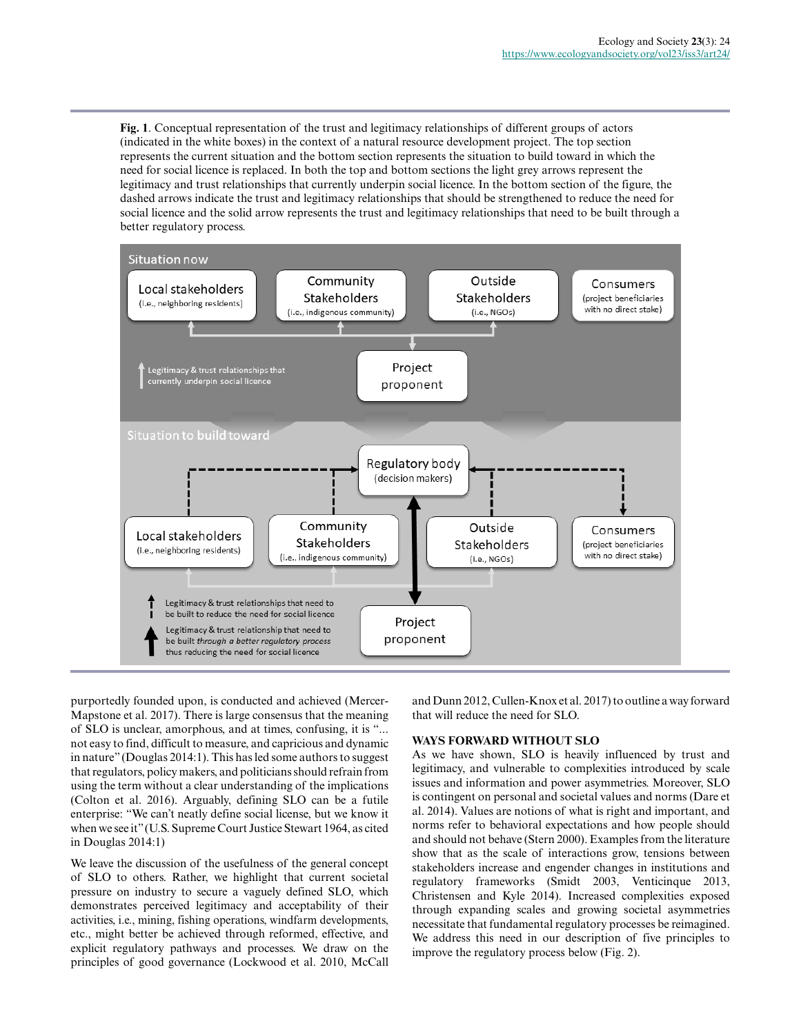**Fig. 1**. Conceptual representation of the trust and legitimacy relationships of different groups of actors (indicated in the white boxes) in the context of a natural resource development project. The top section represents the current situation and the bottom section represents the situation to build toward in which the need for social licence is replaced. In both the top and bottom sections the light grey arrows represent the legitimacy and trust relationships that currently underpin social licence. In the bottom section of the figure, the dashed arrows indicate the trust and legitimacy relationships that should be strengthened to reduce the need for social licence and the solid arrow represents the trust and legitimacy relationships that need to be built through a better regulatory process.



purportedly founded upon, is conducted and achieved (Mercer-Mapstone et al. 2017). There is large consensus that the meaning of SLO is unclear, amorphous, and at times, confusing, it is "... not easy to find, difficult to measure, and capricious and dynamic in nature" (Douglas 2014:1). This has led some authors to suggest that regulators, policy makers, and politicians should refrain from using the term without a clear understanding of the implications (Colton et al. 2016). Arguably, defining SLO can be a futile enterprise: "We can't neatly define social license, but we know it when we see it" (U.S. Supreme Court Justice Stewart 1964, as cited in Douglas 2014:1)

We leave the discussion of the usefulness of the general concept of SLO to others. Rather, we highlight that current societal pressure on industry to secure a vaguely defined SLO, which demonstrates perceived legitimacy and acceptability of their activities, i.e., mining, fishing operations, windfarm developments, etc., might better be achieved through reformed, effective, and explicit regulatory pathways and processes. We draw on the principles of good governance (Lockwood et al. 2010, McCall

and Dunn 2012, Cullen-Knox et al. 2017) to outline a way forward that will reduce the need for SLO.

# **WAYS FORWARD WITHOUT SLO**

As we have shown, SLO is heavily influenced by trust and legitimacy, and vulnerable to complexities introduced by scale issues and information and power asymmetries. Moreover, SLO is contingent on personal and societal values and norms (Dare et al. 2014). Values are notions of what is right and important, and norms refer to behavioral expectations and how people should and should not behave (Stern 2000). Examples from the literature show that as the scale of interactions grow, tensions between stakeholders increase and engender changes in institutions and regulatory frameworks (Smidt 2003, Venticinque 2013, Christensen and Kyle 2014). Increased complexities exposed through expanding scales and growing societal asymmetries necessitate that fundamental regulatory processes be reimagined. We address this need in our description of five principles to improve the regulatory process below (Fig. 2).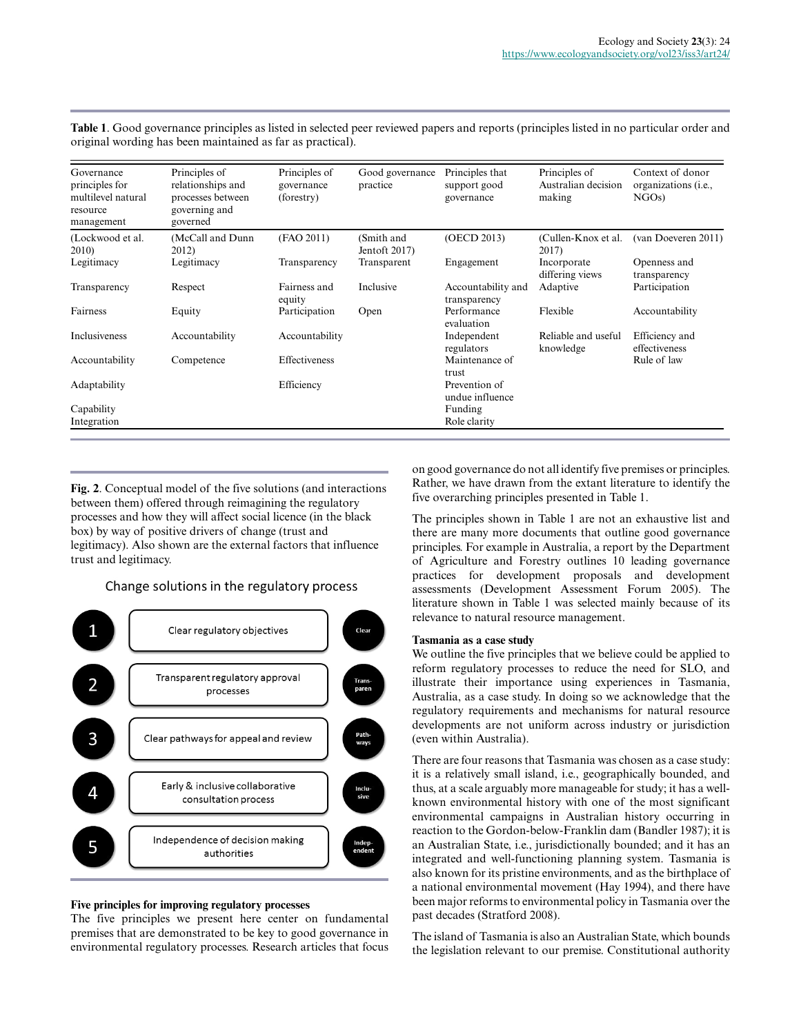**Table 1**. Good governance principles as listed in selected peer reviewed papers and reports (principles listed in no particular order and original wording has been maintained as far as practical).

| Governance<br>principles for<br>multilevel natural<br>resource<br>management | Principles of<br>relationships and<br>processes between<br>governing and<br>governed | Principles of<br>governance<br>(forestry) | Good governance<br>practice | Principles that<br>support good<br>governance | Principles of<br>Australian decision<br>making | Context of donor<br>organizations (i.e.,<br>$NGOs$ ) |
|------------------------------------------------------------------------------|--------------------------------------------------------------------------------------|-------------------------------------------|-----------------------------|-----------------------------------------------|------------------------------------------------|------------------------------------------------------|
| (Lockwood et al.<br>2010)                                                    | (McCall and Dunn<br>2012)                                                            | (FAO 2011)                                | (Smith and<br>Jentoft 2017) | (OECD 2013)                                   | (Cullen-Knox et al.)<br>2017)                  | (van Doeveren 2011)                                  |
| Legitimacy                                                                   | Legitimacy                                                                           | Transparency                              | Transparent                 | Engagement                                    | Incorporate<br>differing views                 | Openness and<br>transparency                         |
| Transparency                                                                 | Respect                                                                              | Fairness and<br>equity                    | Inclusive                   | Accountability and<br>transparency            | Adaptive                                       | Participation                                        |
| Fairness                                                                     | Equity                                                                               | Participation                             | Open                        | Performance<br>evaluation                     | Flexible                                       | Accountability                                       |
| Inclusiveness                                                                | Accountability                                                                       | Accountability                            |                             | Independent<br>regulators                     | Reliable and useful<br>knowledge               | Efficiency and<br>effectiveness                      |
| Accountability                                                               | Competence                                                                           | Effectiveness                             |                             | Maintenance of<br>trust                       |                                                | Rule of law                                          |
| Adaptability                                                                 |                                                                                      | Efficiency                                |                             | Prevention of<br>undue influence              |                                                |                                                      |
| Capability<br>Integration                                                    |                                                                                      |                                           |                             | Funding<br>Role clarity                       |                                                |                                                      |

**Fig. 2**. Conceptual model of the five solutions (and interactions between them) offered through reimagining the regulatory processes and how they will affect social licence (in the black box) by way of positive drivers of change (trust and legitimacy). Also shown are the external factors that influence trust and legitimacy.

Change solutions in the regulatory process



## **Five principles for improving regulatory processes**

The five principles we present here center on fundamental premises that are demonstrated to be key to good governance in environmental regulatory processes. Research articles that focus on good governance do not all identify five premises or principles. Rather, we have drawn from the extant literature to identify the five overarching principles presented in Table 1.

The principles shown in Table 1 are not an exhaustive list and there are many more documents that outline good governance principles. For example in Australia, a report by the Department of Agriculture and Forestry outlines 10 leading governance practices for development proposals and development assessments (Development Assessment Forum 2005). The literature shown in Table 1 was selected mainly because of its relevance to natural resource management.

#### **Tasmania as a case study**

We outline the five principles that we believe could be applied to reform regulatory processes to reduce the need for SLO, and illustrate their importance using experiences in Tasmania, Australia, as a case study. In doing so we acknowledge that the regulatory requirements and mechanisms for natural resource developments are not uniform across industry or jurisdiction (even within Australia).

There are four reasons that Tasmania was chosen as a case study: it is a relatively small island, i.e., geographically bounded, and thus, at a scale arguably more manageable for study; it has a wellknown environmental history with one of the most significant environmental campaigns in Australian history occurring in reaction to the Gordon-below-Franklin dam (Bandler 1987); it is an Australian State, i.e., jurisdictionally bounded; and it has an integrated and well-functioning planning system. Tasmania is also known for its pristine environments, and as the birthplace of a national environmental movement (Hay 1994), and there have been major reforms to environmental policy in Tasmania over the past decades (Stratford 2008).

The island of Tasmania is also an Australian State, which bounds the legislation relevant to our premise. Constitutional authority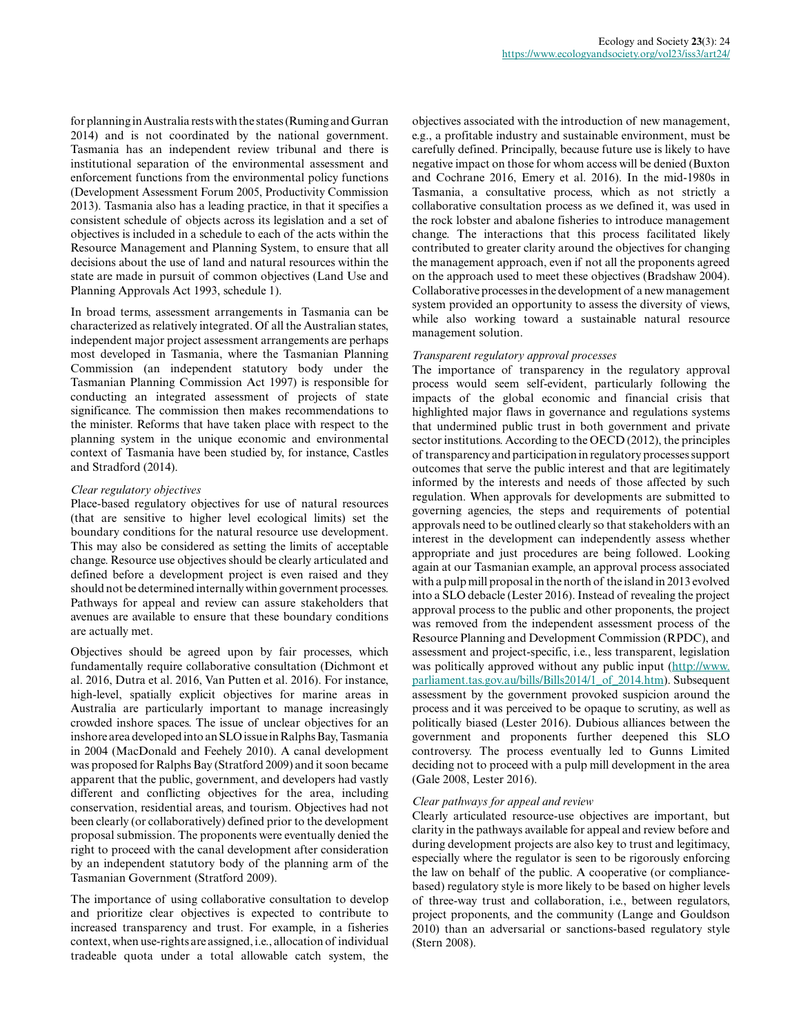for planning in Australia rests with the states (Ruming and Gurran 2014) and is not coordinated by the national government. Tasmania has an independent review tribunal and there is institutional separation of the environmental assessment and enforcement functions from the environmental policy functions (Development Assessment Forum 2005, Productivity Commission 2013). Tasmania also has a leading practice, in that it specifies a consistent schedule of objects across its legislation and a set of objectives is included in a schedule to each of the acts within the Resource Management and Planning System, to ensure that all decisions about the use of land and natural resources within the state are made in pursuit of common objectives (Land Use and Planning Approvals Act 1993, schedule 1).

In broad terms, assessment arrangements in Tasmania can be characterized as relatively integrated. Of all the Australian states, independent major project assessment arrangements are perhaps most developed in Tasmania, where the Tasmanian Planning Commission (an independent statutory body under the Tasmanian Planning Commission Act 1997) is responsible for conducting an integrated assessment of projects of state significance. The commission then makes recommendations to the minister. Reforms that have taken place with respect to the planning system in the unique economic and environmental context of Tasmania have been studied by, for instance, Castles and Stradford (2014).

## *Clear regulatory objectives*

Place-based regulatory objectives for use of natural resources (that are sensitive to higher level ecological limits) set the boundary conditions for the natural resource use development. This may also be considered as setting the limits of acceptable change. Resource use objectives should be clearly articulated and defined before a development project is even raised and they should not be determined internally within government processes. Pathways for appeal and review can assure stakeholders that avenues are available to ensure that these boundary conditions are actually met.

Objectives should be agreed upon by fair processes, which fundamentally require collaborative consultation (Dichmont et al. 2016, Dutra et al. 2016, Van Putten et al. 2016). For instance, high-level, spatially explicit objectives for marine areas in Australia are particularly important to manage increasingly crowded inshore spaces. The issue of unclear objectives for an inshore area developed into an SLO issue in Ralphs Bay, Tasmania in 2004 (MacDonald and Feehely 2010). A canal development was proposed for Ralphs Bay (Stratford 2009) and it soon became apparent that the public, government, and developers had vastly different and conflicting objectives for the area, including conservation, residential areas, and tourism. Objectives had not been clearly (or collaboratively) defined prior to the development proposal submission. The proponents were eventually denied the right to proceed with the canal development after consideration by an independent statutory body of the planning arm of the Tasmanian Government (Stratford 2009).

The importance of using collaborative consultation to develop and prioritize clear objectives is expected to contribute to increased transparency and trust. For example, in a fisheries context, when use-rights are assigned, i.e., allocation of individual tradeable quota under a total allowable catch system, the

objectives associated with the introduction of new management, e.g., a profitable industry and sustainable environment, must be carefully defined. Principally, because future use is likely to have negative impact on those for whom access will be denied (Buxton and Cochrane 2016, Emery et al. 2016). In the mid-1980s in Tasmania, a consultative process, which as not strictly a collaborative consultation process as we defined it, was used in the rock lobster and abalone fisheries to introduce management change. The interactions that this process facilitated likely contributed to greater clarity around the objectives for changing the management approach, even if not all the proponents agreed on the approach used to meet these objectives (Bradshaw 2004). Collaborative processes in the development of a new management system provided an opportunity to assess the diversity of views, while also working toward a sustainable natural resource management solution.

## *Transparent regulatory approval processes*

The importance of transparency in the regulatory approval process would seem self-evident, particularly following the impacts of the global economic and financial crisis that highlighted major flaws in governance and regulations systems that undermined public trust in both government and private sector institutions. According to the OECD (2012), the principles of transparency and participation in regulatory processes support outcomes that serve the public interest and that are legitimately informed by the interests and needs of those affected by such regulation. When approvals for developments are submitted to governing agencies, the steps and requirements of potential approvals need to be outlined clearly so that stakeholders with an interest in the development can independently assess whether appropriate and just procedures are being followed. Looking again at our Tasmanian example, an approval process associated with a pulp mill proposal in the north of the island in 2013 evolved into a SLO debacle (Lester 2016). Instead of revealing the project approval process to the public and other proponents, the project was removed from the independent assessment process of the Resource Planning and Development Commission (RPDC), and assessment and project-specific, i.e., less transparent, legislation was politically approved without any public input ([http://www.](http://www.parliament.tas.gov.au/bills/Bills2014/1_of_2014.htm) [parliament.tas.gov.au/bills/Bills2014/1\\_of\\_2014.htm](http://www.parliament.tas.gov.au/bills/Bills2014/1_of_2014.htm)). Subsequent assessment by the government provoked suspicion around the process and it was perceived to be opaque to scrutiny, as well as politically biased (Lester 2016). Dubious alliances between the government and proponents further deepened this SLO controversy. The process eventually led to Gunns Limited deciding not to proceed with a pulp mill development in the area (Gale 2008, Lester 2016).

#### *Clear pathways for appeal and review*

Clearly articulated resource-use objectives are important, but clarity in the pathways available for appeal and review before and during development projects are also key to trust and legitimacy, especially where the regulator is seen to be rigorously enforcing the law on behalf of the public. A cooperative (or compliancebased) regulatory style is more likely to be based on higher levels of three-way trust and collaboration, i.e., between regulators, project proponents, and the community (Lange and Gouldson 2010) than an adversarial or sanctions-based regulatory style (Stern 2008).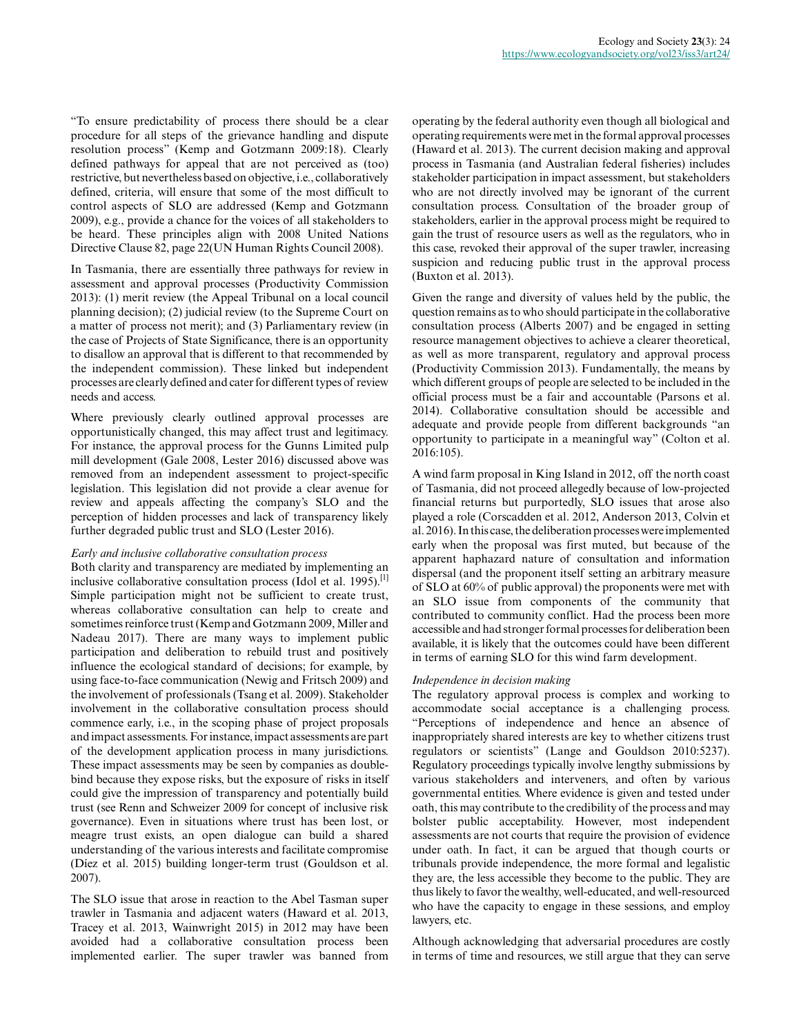"To ensure predictability of process there should be a clear procedure for all steps of the grievance handling and dispute resolution process" (Kemp and Gotzmann 2009:18). Clearly defined pathways for appeal that are not perceived as (too) restrictive, but nevertheless based on objective, i.e., collaboratively defined, criteria, will ensure that some of the most difficult to control aspects of SLO are addressed (Kemp and Gotzmann 2009), e.g., provide a chance for the voices of all stakeholders to be heard. These principles align with 2008 United Nations Directive Clause 82, page 22(UN Human Rights Council 2008).

In Tasmania, there are essentially three pathways for review in assessment and approval processes (Productivity Commission 2013): (1) merit review (the Appeal Tribunal on a local council planning decision); (2) judicial review (to the Supreme Court on a matter of process not merit); and (3) Parliamentary review (in the case of Projects of State Significance, there is an opportunity to disallow an approval that is different to that recommended by the independent commission). These linked but independent processes are clearly defined and cater for different types of review needs and access.

Where previously clearly outlined approval processes are opportunistically changed, this may affect trust and legitimacy. For instance, the approval process for the Gunns Limited pulp mill development (Gale 2008, Lester 2016) discussed above was removed from an independent assessment to project-specific legislation. This legislation did not provide a clear avenue for review and appeals affecting the company's SLO and the perception of hidden processes and lack of transparency likely further degraded public trust and SLO (Lester 2016).

#### *Early and inclusive collaborative consultation process*

Both clarity and transparency are mediated by implementing an inclusive collaborative consultation process (Idol et al. 1995).<sup>[1]</sup> Simple participation might not be sufficient to create trust, whereas collaborative consultation can help to create and sometimes reinforce trust (Kemp and Gotzmann 2009, Miller and Nadeau 2017). There are many ways to implement public participation and deliberation to rebuild trust and positively influence the ecological standard of decisions; for example, by using face-to-face communication (Newig and Fritsch 2009) and the involvement of professionals (Tsang et al. 2009). Stakeholder involvement in the collaborative consultation process should commence early, i.e., in the scoping phase of project proposals and impact assessments. For instance, impact assessments are part of the development application process in many jurisdictions. These impact assessments may be seen by companies as doublebind because they expose risks, but the exposure of risks in itself could give the impression of transparency and potentially build trust (see Renn and Schweizer 2009 for concept of inclusive risk governance). Even in situations where trust has been lost, or meagre trust exists, an open dialogue can build a shared understanding of the various interests and facilitate compromise (Díez et al. 2015) building longer-term trust (Gouldson et al. 2007).

The SLO issue that arose in reaction to the Abel Tasman super trawler in Tasmania and adjacent waters (Haward et al. 2013, Tracey et al. 2013, Wainwright 2015) in 2012 may have been avoided had a collaborative consultation process been implemented earlier. The super trawler was banned from operating by the federal authority even though all biological and operating requirements were met in the formal approval processes (Haward et al. 2013). The current decision making and approval process in Tasmania (and Australian federal fisheries) includes stakeholder participation in impact assessment, but stakeholders who are not directly involved may be ignorant of the current consultation process. Consultation of the broader group of stakeholders, earlier in the approval process might be required to gain the trust of resource users as well as the regulators, who in this case, revoked their approval of the super trawler, increasing suspicion and reducing public trust in the approval process (Buxton et al. 2013).

Given the range and diversity of values held by the public, the question remains as to who should participate in the collaborative consultation process (Alberts 2007) and be engaged in setting resource management objectives to achieve a clearer theoretical, as well as more transparent, regulatory and approval process (Productivity Commission 2013). Fundamentally, the means by which different groups of people are selected to be included in the official process must be a fair and accountable (Parsons et al. 2014). Collaborative consultation should be accessible and adequate and provide people from different backgrounds "an opportunity to participate in a meaningful way" (Colton et al. 2016:105).

A wind farm proposal in King Island in 2012, off the north coast of Tasmania, did not proceed allegedly because of low-projected financial returns but purportedly, SLO issues that arose also played a role (Corscadden et al. 2012, Anderson 2013, Colvin et al. 2016). In this case, the deliberation processes were implemented early when the proposal was first muted, but because of the apparent haphazard nature of consultation and information dispersal (and the proponent itself setting an arbitrary measure of SLO at 60% of public approval) the proponents were met with an SLO issue from components of the community that contributed to community conflict. Had the process been more accessible and had stronger formal processes for deliberation been available, it is likely that the outcomes could have been different in terms of earning SLO for this wind farm development.

#### *Independence in decision making*

The regulatory approval process is complex and working to accommodate social acceptance is a challenging process. "Perceptions of independence and hence an absence of inappropriately shared interests are key to whether citizens trust regulators or scientists" (Lange and Gouldson 2010:5237). Regulatory proceedings typically involve lengthy submissions by various stakeholders and interveners, and often by various governmental entities. Where evidence is given and tested under oath, this may contribute to the credibility of the process and may bolster public acceptability. However, most independent assessments are not courts that require the provision of evidence under oath. In fact, it can be argued that though courts or tribunals provide independence, the more formal and legalistic they are, the less accessible they become to the public. They are thus likely to favor the wealthy, well-educated, and well-resourced who have the capacity to engage in these sessions, and employ lawyers, etc.

Although acknowledging that adversarial procedures are costly in terms of time and resources, we still argue that they can serve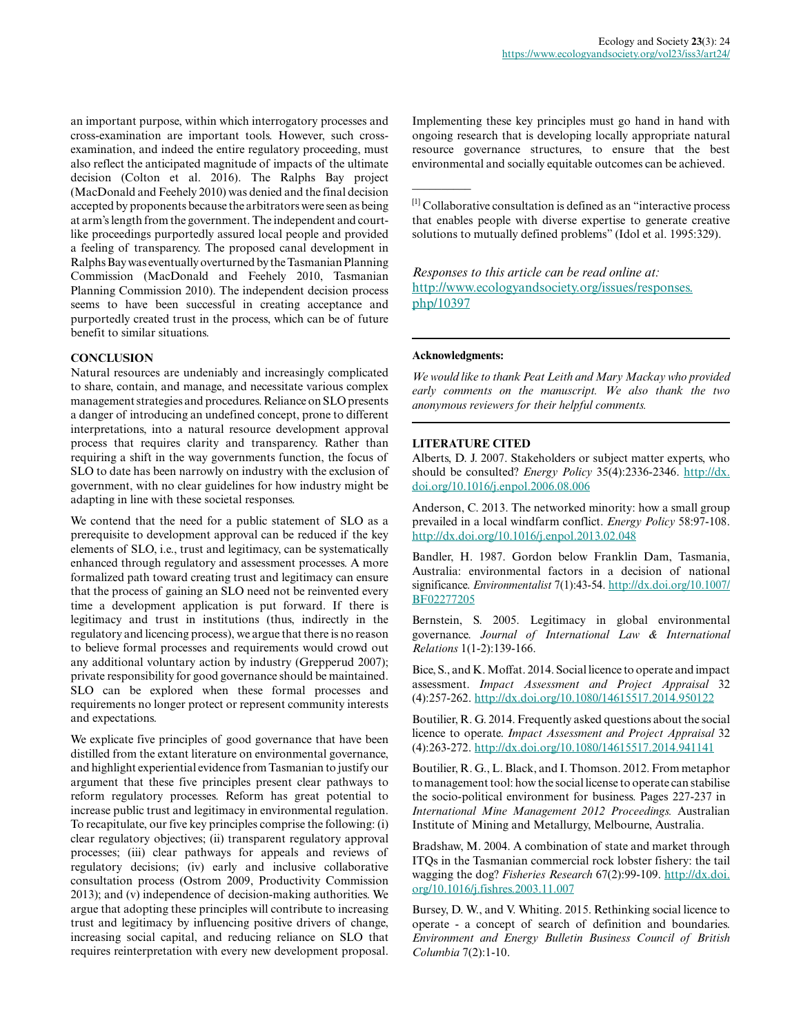an important purpose, within which interrogatory processes and cross-examination are important tools. However, such crossexamination, and indeed the entire regulatory proceeding, must also reflect the anticipated magnitude of impacts of the ultimate decision (Colton et al. 2016). The Ralphs Bay project (MacDonald and Feehely 2010) was denied and the final decision accepted by proponents because the arbitrators were seen as being at arm's length from the government. The independent and courtlike proceedings purportedly assured local people and provided a feeling of transparency. The proposed canal development in Ralphs Bay was eventually overturned by the Tasmanian Planning Commission (MacDonald and Feehely 2010, Tasmanian Planning Commission 2010). The independent decision process seems to have been successful in creating acceptance and purportedly created trust in the process, which can be of future benefit to similar situations.

## **CONCLUSION**

Natural resources are undeniably and increasingly complicated to share, contain, and manage, and necessitate various complex management strategies and procedures. Reliance on SLO presents a danger of introducing an undefined concept, prone to different interpretations, into a natural resource development approval process that requires clarity and transparency. Rather than requiring a shift in the way governments function, the focus of SLO to date has been narrowly on industry with the exclusion of government, with no clear guidelines for how industry might be adapting in line with these societal responses.

We contend that the need for a public statement of SLO as a prerequisite to development approval can be reduced if the key elements of SLO, i.e., trust and legitimacy, can be systematically enhanced through regulatory and assessment processes. A more formalized path toward creating trust and legitimacy can ensure that the process of gaining an SLO need not be reinvented every time a development application is put forward. If there is legitimacy and trust in institutions (thus, indirectly in the regulatory and licencing process), we argue that there is no reason to believe formal processes and requirements would crowd out any additional voluntary action by industry (Grepperud 2007); private responsibility for good governance should be maintained. SLO can be explored when these formal processes and requirements no longer protect or represent community interests and expectations.

We explicate five principles of good governance that have been distilled from the extant literature on environmental governance, and highlight experiential evidence from Tasmanian to justify our argument that these five principles present clear pathways to reform regulatory processes. Reform has great potential to increase public trust and legitimacy in environmental regulation. To recapitulate, our five key principles comprise the following: (i) clear regulatory objectives; (ii) transparent regulatory approval processes; (iii) clear pathways for appeals and reviews of regulatory decisions; (iv) early and inclusive collaborative consultation process (Ostrom 2009, Productivity Commission 2013); and (v) independence of decision-making authorities. We argue that adopting these principles will contribute to increasing trust and legitimacy by influencing positive drivers of change, increasing social capital, and reducing reliance on SLO that requires reinterpretation with every new development proposal.

Implementing these key principles must go hand in hand with ongoing research that is developing locally appropriate natural resource governance structures, to ensure that the best environmental and socially equitable outcomes can be achieved.

[1] Collaborative consultation is defined as an "interactive process that enables people with diverse expertise to generate creative solutions to mutually defined problems" (Idol et al. 1995:329).

*Responses to this article can be read online at:* [http://www.ecologyandsociety.org/issues/responses.](http://www.ecologyandsociety.org/issues/responses.php/10397) [php/10397](http://www.ecologyandsociety.org/issues/responses.php/10397)

#### **Acknowledgments:**

 $\overline{\phantom{a}}$ 

*We would like to thank Peat Leith and Mary Mackay who provided early comments on the manuscript. We also thank the two anonymous reviewers for their helpful comments.*

#### **LITERATURE CITED**

Alberts, D. J. 2007. Stakeholders or subject matter experts, who should be consulted? *Energy Policy* 35(4):2336-2346. [http://dx.](http://dx.doi.org/10.1016%2Fj.enpol.2006.08.006) [doi.org/10.1016/j.enpol.2006.08.006](http://dx.doi.org/10.1016%2Fj.enpol.2006.08.006) 

Anderson, C. 2013. The networked minority: how a small group prevailed in a local windfarm conflict. *Energy Policy* 58:97-108. [http://dx.doi.org/10.1016/j.enpol.2013.02.048](http://dx.doi.org/10.1016%2Fj.enpol.2013.02.048)

Bandler, H. 1987. Gordon below Franklin Dam, Tasmania, Australia: environmental factors in a decision of national significance. *Environmentalist* 7(1):43-54. [http://dx.doi.org/10.1007/](http://dx.doi.org/10.1007%2FBF02277205) [BF02277205](http://dx.doi.org/10.1007%2FBF02277205)

Bernstein, S. 2005. Legitimacy in global environmental governance. *Journal of International Law & International Relations* 1(1-2):139-166.

Bice, S., and K. Moffat. 2014. Social licence to operate and impact assessment. *Impact Assessment and Project Appraisal* 32 (4):257-262. [http://dx.doi.org/10.1080/14615517.2014.950122](http://dx.doi.org/10.1080%2F14615517.2014.950122) 

Boutilier, R. G. 2014. Frequently asked questions about the social licence to operate. *Impact Assessment and Project Appraisal* 32 (4):263-272. [http://dx.doi.org/10.1080/14615517.2014.941141](http://dx.doi.org/10.1080%2F14615517.2014.941141) 

Boutilier, R. G., L. Black, and I. Thomson. 2012. From metaphor to management tool: how the social license to operate can stabilise the socio-political environment for business. Pages 227-237 in *International Mine Management 2012 Proceedings.* Australian Institute of Mining and Metallurgy, Melbourne, Australia.

Bradshaw, M. 2004. A combination of state and market through ITQs in the Tasmanian commercial rock lobster fishery: the tail wagging the dog? *Fisheries Research* 67(2):99-109. [http://dx.doi.](http://dx.doi.org/10.1016%2Fj.fishres.2003.11.007) [org/10.1016/j.fishres.2003.11.007](http://dx.doi.org/10.1016%2Fj.fishres.2003.11.007) 

Bursey, D. W., and V. Whiting. 2015. Rethinking social licence to operate - a concept of search of definition and boundaries. *Environment and Energy Bulletin Business Council of British Columbia* 7(2):1-10.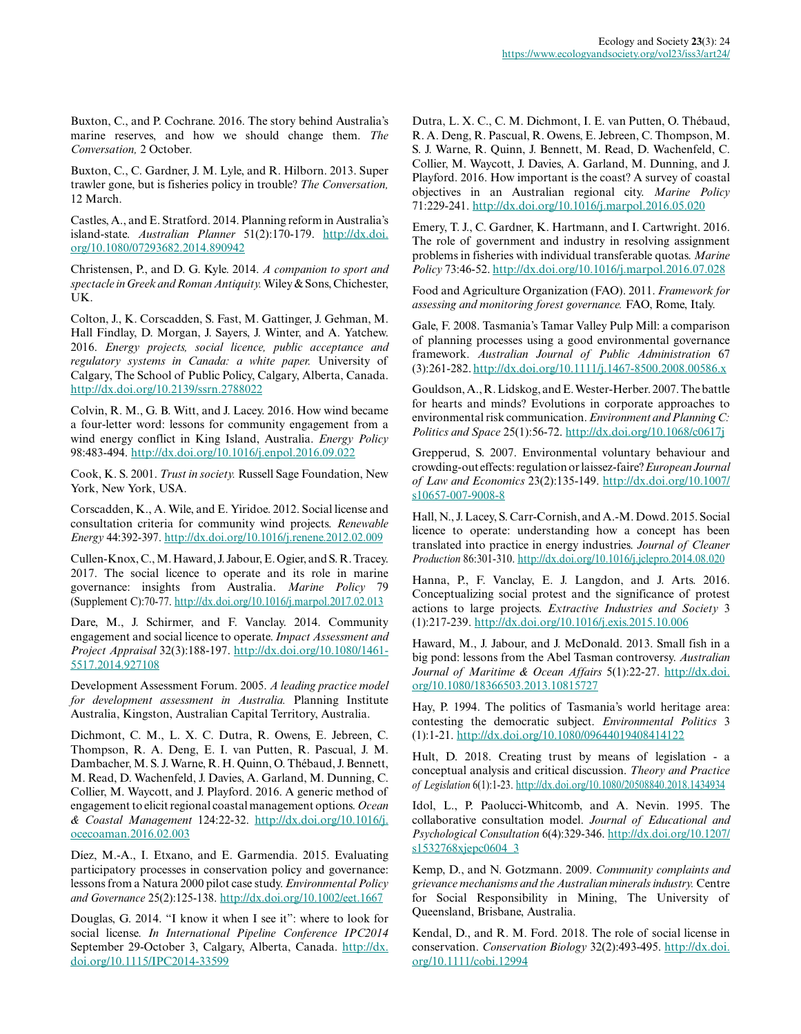Buxton, C., and P. Cochrane. 2016. The story behind Australia's marine reserves, and how we should change them. *The Conversation,* 2 October.

Buxton, C., C. Gardner, J. M. Lyle, and R. Hilborn. 2013. Super trawler gone, but is fisheries policy in trouble? *The Conversation,* 12 March.

Castles, A., and E. Stratford. 2014. Planning reform in Australia's island-state. *Australian Planner* 51(2):170-179. [http://dx.doi.](http://dx.doi.org/10.1080%2F07293682.2014.890942) [org/10.1080/07293682.2014.890942](http://dx.doi.org/10.1080%2F07293682.2014.890942)

Christensen, P., and D. G. Kyle. 2014. *A companion to sport and spectacle in Greek and Roman Antiquity.* Wiley & Sons, Chichester, UK.

Colton, J., K. Corscadden, S. Fast, M. Gattinger, J. Gehman, M. Hall Findlay, D. Morgan, J. Sayers, J. Winter, and A. Yatchew. 2016. *Energy projects, social licence, public acceptance and regulatory systems in Canada: a white paper.* University of Calgary, The School of Public Policy, Calgary, Alberta, Canada. [http://dx.doi.org/10.2139/ssrn.2788022](http://dx.doi.org/10.2139%2Fssrn.2788022) 

Colvin, R. M., G. B. Witt, and J. Lacey. 2016. How wind became a four-letter word: lessons for community engagement from a wind energy conflict in King Island, Australia. *Energy Policy* 98:483-494. [http://dx.doi.org/10.1016/j.enpol.2016.09.022](http://dx.doi.org/10.1016%2Fj.enpol.2016.09.022)

Cook, K. S. 2001. *Trust in society.* Russell Sage Foundation, New York, New York, USA.

Corscadden, K., A. Wile, and E. Yiridoe. 2012. Social license and consultation criteria for community wind projects. *Renewable Energy* 44:392-397. [http://dx.doi.org/10.1016/j.renene.2012.02.009](http://dx.doi.org/10.1016%2Fj.renene.2012.02.009) 

Cullen-Knox, C., M. Haward, J. Jabour, E. Ogier, and S. R. Tracey. 2017. The social licence to operate and its role in marine governance: insights from Australia. *Marine Policy* 79 (Supplement C):70-77. [http://dx.doi.org/10.1016/j.marpol.2017.02.013](http://dx.doi.org/10.1016%2Fj.marpol.2017.02.013) 

Dare, M., J. Schirmer, and F. Vanclay. 2014. Community engagement and social licence to operate. *Impact Assessment and Project Appraisal* 32(3):188-197. [http://dx.doi.org/10.1080/1461](http://dx.doi.org/10.1080%2F14615517.2014.927108) [5517.2014.927108](http://dx.doi.org/10.1080%2F14615517.2014.927108) 

Development Assessment Forum. 2005. *A leading practice model for development assessment in Australia.* Planning Institute Australia, Kingston, Australian Capital Territory, Australia.

Dichmont, C. M., L. X. C. Dutra, R. Owens, E. Jebreen, C. Thompson, R. A. Deng, E. I. van Putten, R. Pascual, J. M. Dambacher, M. S. J. Warne, R. H. Quinn, O. Thébaud, J. Bennett, M. Read, D. Wachenfeld, J. Davies, A. Garland, M. Dunning, C. Collier, M. Waycott, and J. Playford. 2016. A generic method of engagement to elicit regional coastal management options. *Ocean & Coastal Management* 124:22-32. [http://dx.doi.org/10.1016/j.](http://dx.doi.org/10.1016%2Fj.ocecoaman.2016.02.003) [ocecoaman.2016.02.003](http://dx.doi.org/10.1016%2Fj.ocecoaman.2016.02.003) 

Díez, M.-A., I. Etxano, and E. Garmendia. 2015. Evaluating participatory processes in conservation policy and governance: lessons from a Natura 2000 pilot case study. *Environmental Policy and Governance* 25(2):125-138. [http://dx.doi.org/10.1002/eet.1667](http://dx.doi.org/10.1002%2Feet.1667) 

Douglas, G. 2014. "I know it when I see it": where to look for social license. *In International Pipeline Conference IPC2014* September 29-October 3, Calgary, Alberta, Canada. [http://dx.](http://dx.doi.org/10.1115%2FIPC2014-33599) [doi.org/10.1115/IPC2014-33599](http://dx.doi.org/10.1115%2FIPC2014-33599) 

Dutra, L. X. C., C. M. Dichmont, I. E. van Putten, O. Thébaud, R. A. Deng, R. Pascual, R. Owens, E. Jebreen, C. Thompson, M. S. J. Warne, R. Quinn, J. Bennett, M. Read, D. Wachenfeld, C. Collier, M. Waycott, J. Davies, A. Garland, M. Dunning, and J. Playford. 2016. How important is the coast? A survey of coastal objectives in an Australian regional city. *Marine Policy* 71:229-241. [http://dx.doi.org/10.1016/j.marpol.2016.05.020](http://dx.doi.org/10.1016%2Fj.marpol.2016.05.020) 

Emery, T. J., C. Gardner, K. Hartmann, and I. Cartwright. 2016. The role of government and industry in resolving assignment problems in fisheries with individual transferable quotas. *Marine Policy* 73:46-52. [http://dx.doi.org/10.1016/j.marpol.2016.07.028](http://dx.doi.org/10.1016%2Fj.marpol.2016.07.028)

Food and Agriculture Organization (FAO). 2011. *Framework for assessing and monitoring forest governance.* FAO, Rome, Italy.

Gale, F. 2008. Tasmania's Tamar Valley Pulp Mill: a comparison of planning processes using a good environmental governance framework. *Australian Journal of Public Administration* 67 (3):261-282. [http://dx.doi.org/10.1111/j.1467-8500.2008.00586.x](http://dx.doi.org/10.1111%2Fj.1467-8500.2008.00586.x)

Gouldson, A., R. Lidskog, and E. Wester-Herber. 2007. The battle for hearts and minds? Evolutions in corporate approaches to environmental risk communication. *Environment and Planning C: Politics and Space* 25(1):56-72. [http://dx.doi.org/10.1068/c0617j](http://dx.doi.org/10.1068%2Fc0617j) 

Grepperud, S. 2007. Environmental voluntary behaviour and crowding-out effects: regulation or laissez-faire? *European Journal of Law and Economics* 23(2):135-149. [http://dx.doi.org/10.1007/](http://dx.doi.org/10.1007%2Fs10657-007-9008-8) [s10657-007-9008-8](http://dx.doi.org/10.1007%2Fs10657-007-9008-8) 

Hall, N., J. Lacey, S. Carr-Cornish, and A.-M. Dowd. 2015. Social licence to operate: understanding how a concept has been translated into practice in energy industries. *Journal of Cleaner Production* 86:301-310. [http://dx.doi.org/10.1016/j.jclepro.2014.08.020](http://dx.doi.org/10.1016%2Fj.jclepro.2014.08.020) 

Hanna, P., F. Vanclay, E. J. Langdon, and J. Arts. 2016. Conceptualizing social protest and the significance of protest actions to large projects. *Extractive Industries and Society* 3 (1):217-239. [http://dx.doi.org/10.1016/j.exis.2015.10.006](http://dx.doi.org/10.1016%2Fj.exis.2015.10.006)

Haward, M., J. Jabour, and J. McDonald. 2013. Small fish in a big pond: lessons from the Abel Tasman controversy. *Australian Journal of Maritime & Ocean Affairs* 5(1):22-27. [http://dx.doi.](http://dx.doi.org/10.1080%2F18366503.2013.10815727) [org/10.1080/18366503.2013.10815727](http://dx.doi.org/10.1080%2F18366503.2013.10815727)

Hay, P. 1994. The politics of Tasmania's world heritage area: contesting the democratic subject. *Environmental Politics* 3 (1):1-21. [http://dx.doi.org/10.1080/09644019408414122](http://dx.doi.org/10.1080%2F09644019408414122) 

Hult, D. 2018. Creating trust by means of legislation - a conceptual analysis and critical discussion. *Theory and Practice of Legislation* 6(1):1-23. [http://dx.doi.org/10.1080/20508840.2018.1434934](http://dx.doi.org/10.1080%2F20508840.2018.1434934)

Idol, L., P. Paolucci-Whitcomb, and A. Nevin. 1995. The collaborative consultation model. *Journal of Educational and Psychological Consultation* 6(4):329-346. [http://dx.doi.org/10.1207/](http://dx.doi.org/10.1207%2Fs1532768xjepc0604_3) [s1532768xjepc0604\\_3](http://dx.doi.org/10.1207%2Fs1532768xjepc0604_3) 

Kemp, D., and N. Gotzmann. 2009. *Community complaints and grievance mechanisms and the Australian minerals industry.* Centre for Social Responsibility in Mining, The University of Queensland, Brisbane, Australia.

Kendal, D., and R. M. Ford. 2018. The role of social license in conservation. *Conservation Biology* 32(2):493-495. [http://dx.doi.](http://dx.doi.org/10.1111%2Fcobi.12994) [org/10.1111/cobi.12994](http://dx.doi.org/10.1111%2Fcobi.12994)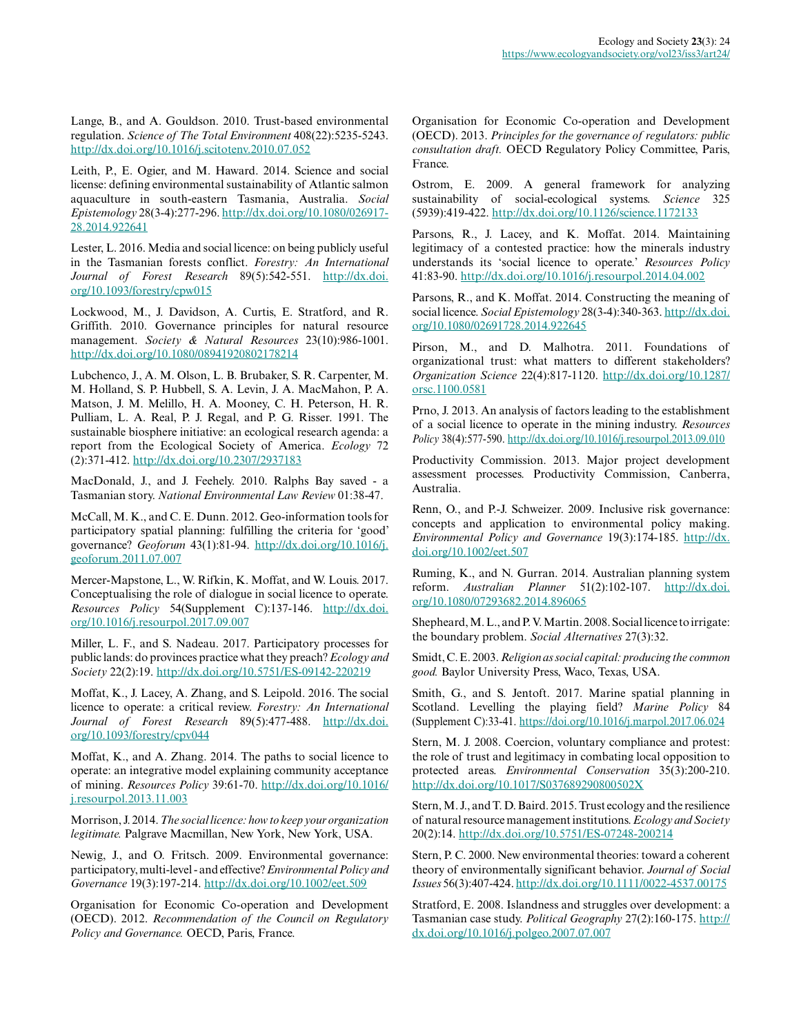Lange, B., and A. Gouldson. 2010. Trust-based environmental regulation. *Science of The Total Environment* 408(22):5235-5243. [http://dx.doi.org/10.1016/j.scitotenv.2010.07.052](http://dx.doi.org/10.1016%2Fj.scitotenv.2010.07.052)

Leith, P., E. Ogier, and M. Haward. 2014. Science and social license: defining environmental sustainability of Atlantic salmon aquaculture in south-eastern Tasmania, Australia. *Social Epistemology* 28(3-4):277-296. [http://dx.doi.org/10.1080/026917](http://dx.doi.org/10.1080%2F02691728.2014.922641) [28.2014.922641](http://dx.doi.org/10.1080%2F02691728.2014.922641) 

Lester, L. 2016. Media and social licence: on being publicly useful in the Tasmanian forests conflict. *Forestry: An International* Journal of Forest Research 89(5):542-551. [http://dx.doi.](http://dx.doi.org/10.1093%2Fforestry%2Fcpw015) [org/10.1093/forestry/cpw015](http://dx.doi.org/10.1093%2Fforestry%2Fcpw015) 

Lockwood, M., J. Davidson, A. Curtis, E. Stratford, and R. Griffith. 2010. Governance principles for natural resource management. *Society & Natural Resources* 23(10):986-1001. [http://dx.doi.org/10.1080/08941920802178214](http://dx.doi.org/10.1080%2F08941920802178214) 

Lubchenco, J., A. M. Olson, L. B. Brubaker, S. R. Carpenter, M. M. Holland, S. P. Hubbell, S. A. Levin, J. A. MacMahon, P. A. Matson, J. M. Melillo, H. A. Mooney, C. H. Peterson, H. R. Pulliam, L. A. Real, P. J. Regal, and P. G. Risser. 1991. The sustainable biosphere initiative: an ecological research agenda: a report from the Ecological Society of America. *Ecology* 72 (2):371-412. [http://dx.doi.org/10.2307/2937183](http://dx.doi.org/10.2307%2F2937183)

MacDonald, J., and J. Feehely. 2010. Ralphs Bay saved - a Tasmanian story. *National Environmental Law Review* 01:38-47.

McCall, M. K., and C. E. Dunn. 2012. Geo-information tools for participatory spatial planning: fulfilling the criteria for 'good' governance? *Geoforum* 43(1):81-94. [http://dx.doi.org/10.1016/j.](http://dx.doi.org/10.1016%2Fj.geoforum.2011.07.007) [geoforum.2011.07.007](http://dx.doi.org/10.1016%2Fj.geoforum.2011.07.007) 

Mercer-Mapstone, L., W. Rifkin, K. Moffat, and W. Louis. 2017. Conceptualising the role of dialogue in social licence to operate. *Resources Policy* 54(Supplement C):137-146. [http://dx.doi.](http://dx.doi.org/10.1016%2Fj.resourpol.2017.09.007) [org/10.1016/j.resourpol.2017.09.007](http://dx.doi.org/10.1016%2Fj.resourpol.2017.09.007)

Miller, L. F., and S. Nadeau. 2017. Participatory processes for public lands: do provinces practice what they preach? *Ecology and Society* 22(2):19. [http://dx.doi.org/10.5751/ES-09142-220219](http://dx.doi.org/10.5751%2FES-09142-220219)

Moffat, K., J. Lacey, A. Zhang, and S. Leipold. 2016. The social licence to operate: a critical review. *Forestry: An International Journal of Forest Research* 89(5):477-488. [http://dx.doi.](http://dx.doi.org/10.1093%2Fforestry%2Fcpv044) [org/10.1093/forestry/cpv044](http://dx.doi.org/10.1093%2Fforestry%2Fcpv044) 

Moffat, K., and A. Zhang. 2014. The paths to social licence to operate: an integrative model explaining community acceptance of mining. *Resources Policy* 39:61-70. [http://dx.doi.org/10.1016/](http://dx.doi.org/10.1016%2Fj.resourpol.2013.11.003) [j.resourpol.2013.11.003](http://dx.doi.org/10.1016%2Fj.resourpol.2013.11.003)

Morrison, J. 2014. *The social licence: how to keep your organization legitimate.* Palgrave Macmillan, New York, New York, USA.

Newig, J., and O. Fritsch. 2009. Environmental governance: participatory, multi-level - and effective? *Environmental Policy and Governance* 19(3):197-214. [http://dx.doi.org/10.1002/eet.509](http://dx.doi.org/10.1002%2Feet.509)

Organisation for Economic Co-operation and Development (OECD). 2012. *Recommendation of the Council on Regulatory Policy and Governance.* OECD, Paris, France.

Organisation for Economic Co-operation and Development (OECD). 2013. *Principles for the governance of regulators: public consultation draft.* OECD Regulatory Policy Committee, Paris, France.

Ostrom, E. 2009. A general framework for analyzing sustainability of social-ecological systems. *Science* 325 (5939):419-422. [http://dx.doi.org/10.1126/science.1172133](http://dx.doi.org/10.1126%2Fscience.1172133) 

Parsons, R., J. Lacey, and K. Moffat. 2014. Maintaining legitimacy of a contested practice: how the minerals industry understands its 'social licence to operate.' *Resources Policy* 41:83-90. [http://dx.doi.org/10.1016/j.resourpol.2014.04.002](http://dx.doi.org/10.1016%2Fj.resourpol.2014.04.002) 

Parsons, R., and K. Moffat. 2014. Constructing the meaning of social licence. *Social Epistemology* 28(3-4):340-363. [http://dx.doi.](http://dx.doi.org/10.1080%2F02691728.2014.922645) [org/10.1080/02691728.2014.922645](http://dx.doi.org/10.1080%2F02691728.2014.922645)

Pirson, M., and D. Malhotra. 2011. Foundations of organizational trust: what matters to different stakeholders? *Organization Science* 22(4):817-1120. [http://dx.doi.org/10.1287/](http://dx.doi.org/10.1287%2Forsc.1100.0581) [orsc.1100.0581](http://dx.doi.org/10.1287%2Forsc.1100.0581) 

Prno, J. 2013. An analysis of factors leading to the establishment of a social licence to operate in the mining industry. *Resources Policy* 38(4):577-590. [http://dx.doi.org/10.1016/j.resourpol.2013.09.010](http://dx.doi.org/10.1016%2Fj.resourpol.2013.09.010) 

Productivity Commission. 2013. Major project development assessment processes. Productivity Commission, Canberra, Australia.

Renn, O., and P.-J. Schweizer. 2009. Inclusive risk governance: concepts and application to environmental policy making. *Environmental Policy and Governance* 19(3):174-185. [http://dx.](http://dx.doi.org/10.1002%2Feet.507) [doi.org/10.1002/eet.507](http://dx.doi.org/10.1002%2Feet.507) 

Ruming, K., and N. Gurran. 2014. Australian planning system reform. *Australian Planner* 51(2):102-107. [http://dx.doi.](http://dx.doi.org/10.1080%2F07293682.2014.896065) [org/10.1080/07293682.2014.896065](http://dx.doi.org/10.1080%2F07293682.2014.896065)

Shepheard, M. L., and P. V. Martin. 2008. Social licence to irrigate: the boundary problem. *Social Alternatives* 27(3):32.

Smidt, C. E. 2003. *Religion as social capital: producing the common good.* Baylor University Press, Waco, Texas, USA.

Smith, G., and S. Jentoft. 2017. Marine spatial planning in Scotland. Levelling the playing field? *Marine Policy* 84 (Supplement C):33-41. <https://doi.org/10.1016/j.marpol.2017.06.024>

Stern, M. J. 2008. Coercion, voluntary compliance and protest: the role of trust and legitimacy in combating local opposition to protected areas. *Environmental Conservation* 35(3):200-210. [http://dx.doi.org/10.1017/S037689290800502X](http://dx.doi.org/10.1017%2FS037689290800502X) 

Stern, M. J., and T. D. Baird. 2015. Trust ecology and the resilience of natural resource management institutions. *Ecology and Society* 20(2):14. [http://dx.doi.org/10.5751/ES-07248-200214](http://dx.doi.org/10.5751%2FES-07248-200214)

Stern, P. C. 2000. New environmental theories: toward a coherent theory of environmentally significant behavior. *Journal of Social Issues* 56(3):407-424. [http://dx.doi.org/10.1111/0022-4537.00175](http://dx.doi.org/10.1111%2F0022-4537.00175)

Stratford, E. 2008. Islandness and struggles over development: a Tasmanian case study. *Political Geography* 27(2):160-175. [http://](http://dx.doi.org/10.1016%2Fj.polgeo.2007.07.007) [dx.doi.org/10.1016/j.polgeo.2007.07.007](http://dx.doi.org/10.1016%2Fj.polgeo.2007.07.007)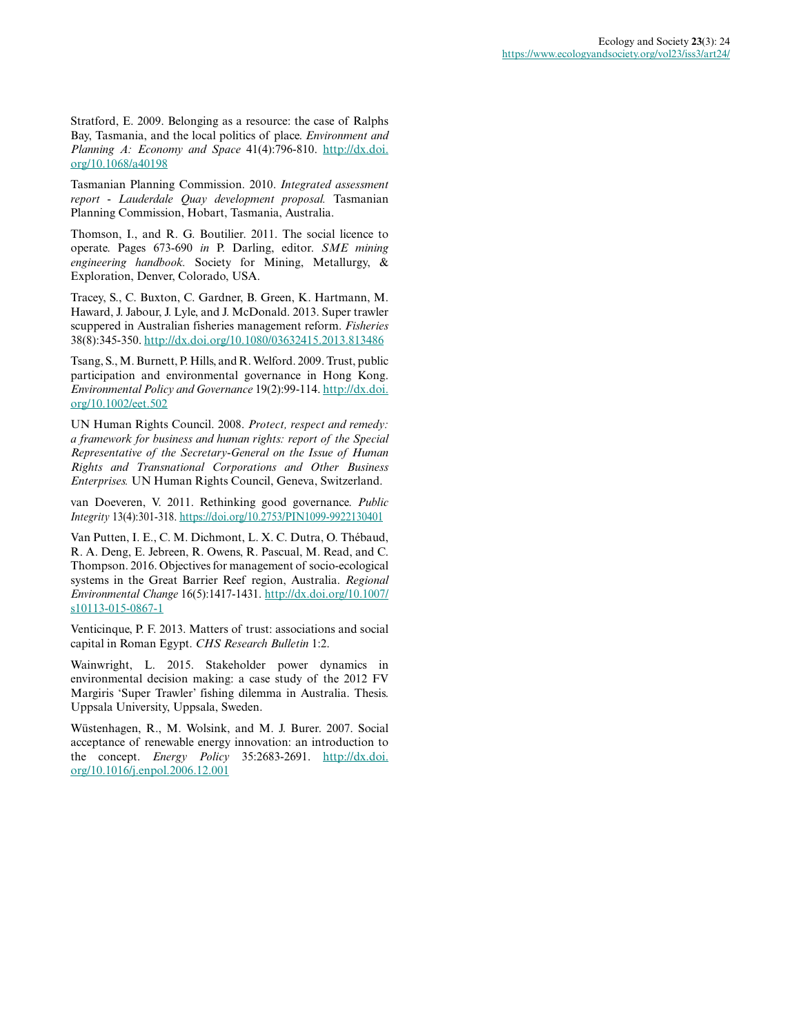Stratford, E. 2009. Belonging as a resource: the case of Ralphs Bay, Tasmania, and the local politics of place. *Environment and Planning A: Economy and Space* 41(4):796-810. [http://dx.doi.](http://dx.doi.org/10.1068%2Fa40198) [org/10.1068/a40198](http://dx.doi.org/10.1068%2Fa40198)

Tasmanian Planning Commission. 2010. *Integrated assessment report - Lauderdale Quay development proposal.* Tasmanian Planning Commission, Hobart, Tasmania, Australia.

Thomson, I., and R. G. Boutilier. 2011. The social licence to operate. Pages 673-690 *in* P. Darling, editor. *SME mining engineering handbook.* Society for Mining, Metallurgy, & Exploration, Denver, Colorado, USA.

Tracey, S., C. Buxton, C. Gardner, B. Green, K. Hartmann, M. Haward, J. Jabour, J. Lyle, and J. McDonald. 2013. Super trawler scuppered in Australian fisheries management reform. *Fisheries* 38(8):345-350. [http://dx.doi.org/10.1080/03632415.2013.813486](http://dx.doi.org/10.1080%2F03632415.2013.813486)

Tsang, S., M. Burnett, P. Hills, and R. Welford. 2009. Trust, public participation and environmental governance in Hong Kong. *Environmental Policy and Governance* 19(2):99-114. [http://dx.doi.](http://dx.doi.org/10.1002%2Feet.502) [org/10.1002/eet.502](http://dx.doi.org/10.1002%2Feet.502)

UN Human Rights Council. 2008. *Protect, respect and remedy: a framework for business and human rights: report of the Special Representative of the Secretary-General on the Issue of Human Rights and Transnational Corporations and Other Business Enterprises.* UN Human Rights Council, Geneva, Switzerland.

van Doeveren, V. 2011. Rethinking good governance. *Public Integrity* 13(4):301-318.<https://doi.org/10.2753/PIN1099-9922130401>

Van Putten, I. E., C. M. Dichmont, L. X. C. Dutra, O. Thébaud, R. A. Deng, E. Jebreen, R. Owens, R. Pascual, M. Read, and C. Thompson. 2016. Objectives for management of socio-ecological systems in the Great Barrier Reef region, Australia. *Regional Environmental Change* 16(5):1417-1431. [http://dx.doi.org/10.1007/](http://dx.doi.org/10.1007%2Fs10113-015-0867-1) s10113-015-0867-1

Venticinque, P. F. 2013. Matters of trust: associations and social capital in Roman Egypt. *CHS Research Bulletin* 1:2.

Wainwright, L. 2015. Stakeholder power dynamics in environmental decision making: a case study of the 2012 FV Margiris 'Super Trawler' fishing dilemma in Australia. Thesis. Uppsala University, Uppsala, Sweden.

Wüstenhagen, R., M. Wolsink, and M. J. Burer. 2007. Social acceptance of renewable energy innovation: an introduction to the concept. *Energy Policy* 35:2683-2691. [http://dx.doi.](http://dx.doi.org/10.1016%2Fj.enpol.2006.12.001) [org/10.1016/j.enpol.2006.12.001](http://dx.doi.org/10.1016%2Fj.enpol.2006.12.001)